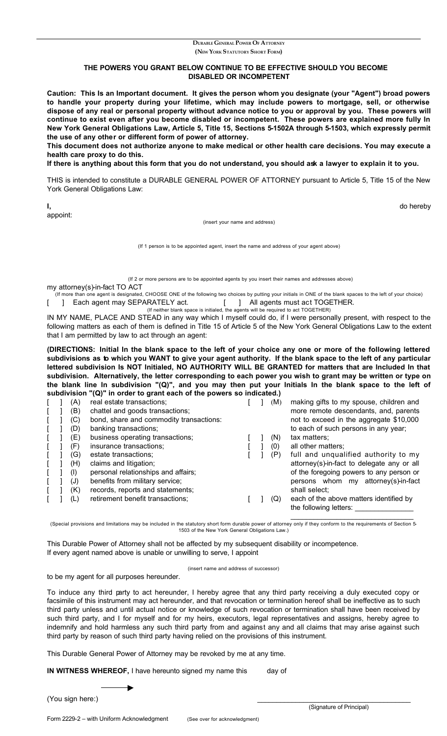## **DURABLE GENERAL POWER OF ATTORNEY (NEW YORK STATUTORY SHORT FORM)**

## **THE POWERS YOU GRANT BELOW CONTINUE TO BE EFFECTIVE SHOULD YOU BECOME DISABLED OR INCOMPETENT**

**Caution: This Is an Important document. It gives the person whom you designate (your "Agent") broad powers to handle your property during your lifetime, which may include powers to mortgage, sell, or otherwise dispose of any real or personal property without advance notice to you or approval by you. These powers will continue to exist even after you become disabled or incompetent. These powers are explained more fully In New York General Obligations Law, Article 5, Title 15, Sections 5-1502A through 5-1503, which expressly permit the use of any other or different form of power of attorney.**

**This document does not authorize anyone to make medical or other health care decisions. You may execute a health care proxy to do this.**

**If there is anything about this form that you do not understand, you should ask a lawyer to explain it to you.**

THIS is intended to constitute a DURABLE GENERAL POWER OF ATTORNEY pursuant to Article 5, Title 15 of the New York General Obligations Law:

**I,** do hereby

appoint:

(insert your name and address)

(If 1 person is to be appointed agent, insert the name and address of your agent above)

(If 2 or more persons are to be appointed agents by you insert their names and addresses above) my attorney(s)-in-fact TO ACT

(If more than one agent is designated, CHOOSE ONE of the following two choices by putting your initials in ONE of the blank spaces to the left of your choice)<br> **Bach agent may SEPARATELY act.** [ ] All agents must act TOGET [ ] Each agent may SEPARATELY act. [ ] All agents must act TOGETHER.

(If neither blank space is initialed, the agents will be required to act TOGETHER)

IN MY NAME, PLACE AND STEAD in any way which I myself could do, if I were personally present, with respect to the following matters as each of them is defined in Title 15 of Article 5 of the New York General Obligations Law to the extent that I am permitted by law to act through an agent:

**(DIRECTIONS: Initial In the blank space to the left of your choice any one or more of the following lettered subdivisions as to which you WANT to give your agent authority. If the blank space to the left of any particular lettered subdivision Is NOT Initialed, NO AUTHORITY WILL BE GRANTED for matters that are Included In that subdivision. Alternatively, the letter corresponding to each power you wish to grant may be written or type on the blank line In subdivision "(Q)", and you may then put your Initials In the blank space to the left of subdivision "(Q)" in order to grant each of the powers so indicated.)**

|  | (A) | real estate transactions;               |  | (M) | making gifts to my spouse, children and                           |
|--|-----|-----------------------------------------|--|-----|-------------------------------------------------------------------|
|  | (B) | chattel and goods transactions;         |  |     | more remote descendants, and, parents                             |
|  | (C) | bond, share and commodity transactions: |  |     | not to exceed in the aggregate \$10,000                           |
|  | (D) | banking transactions;                   |  |     | to each of such persons in any year;                              |
|  | (E) | business operating transactions;        |  | (N) | tax matters;                                                      |
|  | (F) | insurance transactions;                 |  | (0) | all other matters;                                                |
|  | (G) | estate transactions;                    |  | (P) | full and unqualified authority to my                              |
|  | (H) | claims and litigation;                  |  |     | attorney(s)-in-fact to delegate any or all                        |
|  | (1) | personal relationships and affairs;     |  |     | of the foregoing powers to any person or                          |
|  | (J) | benefits from military service;         |  |     | persons whom my attorney(s)-in-fact                               |
|  | (K) | records, reports and statements;        |  |     | shall select;                                                     |
|  | (L) | retirement benefit transactions;        |  | (Q) | each of the above matters identified by<br>the following letters: |
|  |     |                                         |  |     |                                                                   |

\_\_\_\_\_\_\_\_\_\_\_\_\_\_\_\_\_\_\_\_\_\_\_\_\_\_\_\_\_\_\_\_ (Special provisions and limitations may be included in the statutory short form durable power of attorney only if they conform to the requirements of Section 5- 1503 of the New York General Obligations Law.)

This Durable Power of Attorney shall not be affected by my subsequent disability or incompetence. If every agent named above is unable or unwilling to serve, I appoint

(insert name and address of successor)

to be my agent for all purposes hereunder.

To induce any third party to act hereunder, I hereby agree that any third party receiving a duly executed copy or facsimile of this instrument may act hereunder, and that revocation or termination hereof shall be ineffective as to such third party unless and until actual notice or knowledge of such revocation or termination shall have been received by such third party, and I for myself and for my heirs, executors, legal representatives and assigns, hereby agree to indemnify and hold harmless any such third party from and against any and all claims that may arise against such third party by reason of such third party having relied on the provisions of this instrument.

This Durable General Power of Attorney may be revoked by me at any time.

**IN WITNESS WHEREOF, I have hereunto signed my name this** day of

(You sign here:)